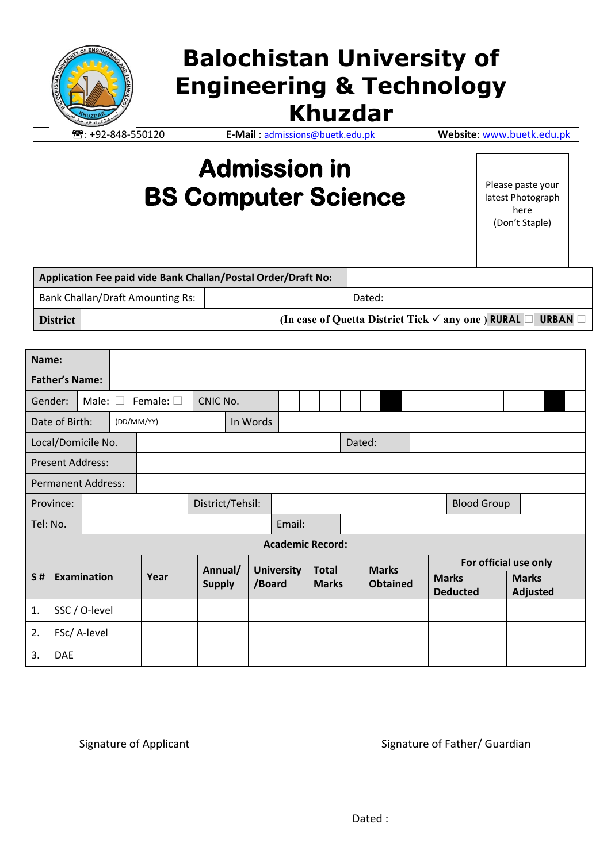

# **Balochistan University of Engineering & Technology Khuzdar**

: +92-848-550120 **E-Mail** : [admissions@buetk.edu.pk](mailto:admissions@buetk.edu.pk) **Website**[: www.buetk.edu.pk](http://www.buetk.edu.pk/)

## **Admission in BS Computer Science**

Please paste your latest Photograph here (Don't Staple)

|                 |                                         | Application Fee paid vide Bank Challan/Postal Order/Draft No: |        |                                                                                     |
|-----------------|-----------------------------------------|---------------------------------------------------------------|--------|-------------------------------------------------------------------------------------|
|                 | <b>Bank Challan/Draft Amounting Rs:</b> |                                                               | Dated: |                                                                                     |
| <b>District</b> |                                         |                                                               |        | (In case of Quetta District Tick $\checkmark$ any one) RURAL $\Box$<br><b>URBAN</b> |

| Name:                                           |               |  |                  |         |               |                   |  |              |  |              |  |                 |  |                    |                       |  |          |              |  |  |
|-------------------------------------------------|---------------|--|------------------|---------|---------------|-------------------|--|--------------|--|--------------|--|-----------------|--|--------------------|-----------------------|--|----------|--------------|--|--|
| <b>Father's Name:</b>                           |               |  |                  |         |               |                   |  |              |  |              |  |                 |  |                    |                       |  |          |              |  |  |
| Male: $\square$<br>Female: $\square$<br>Gender: |               |  | CNIC No.         |         |               |                   |  |              |  |              |  |                 |  |                    |                       |  |          |              |  |  |
| Date of Birth:<br>(DD/MM/YY)                    |               |  |                  |         | In Words      |                   |  |              |  |              |  |                 |  |                    |                       |  |          |              |  |  |
| Local/Domicile No.                              |               |  |                  | Dated:  |               |                   |  |              |  |              |  |                 |  |                    |                       |  |          |              |  |  |
| <b>Present Address:</b>                         |               |  |                  |         |               |                   |  |              |  |              |  |                 |  |                    |                       |  |          |              |  |  |
| <b>Permanent Address:</b>                       |               |  |                  |         |               |                   |  |              |  |              |  |                 |  |                    |                       |  |          |              |  |  |
| Province:                                       |               |  | District/Tehsil: |         |               |                   |  |              |  |              |  |                 |  | <b>Blood Group</b> |                       |  |          |              |  |  |
| Tel: No.                                        |               |  | Email:           |         |               |                   |  |              |  |              |  |                 |  |                    |                       |  |          |              |  |  |
| <b>Academic Record:</b>                         |               |  |                  |         |               |                   |  |              |  |              |  |                 |  |                    |                       |  |          |              |  |  |
|                                                 |               |  |                  | Annual/ |               | <b>University</b> |  | <b>Total</b> |  | <b>Marks</b> |  |                 |  |                    | For official use only |  |          |              |  |  |
| <b>Examination</b><br>S#                        |               |  |                  | Year    | <b>Supply</b> | /Board            |  | <b>Marks</b> |  |              |  | <b>Obtained</b> |  | <b>Marks</b>       |                       |  |          | <b>Marks</b> |  |  |
|                                                 |               |  |                  |         |               |                   |  |              |  |              |  |                 |  | <b>Deducted</b>    |                       |  | Adjusted |              |  |  |
| 1.                                              | SSC / O-level |  |                  |         |               |                   |  |              |  |              |  |                 |  |                    |                       |  |          |              |  |  |
| 2.<br>FSc/ A-level                              |               |  |                  |         |               |                   |  |              |  |              |  |                 |  |                    |                       |  |          |              |  |  |
| 3.<br><b>DAE</b>                                |               |  |                  |         |               |                   |  |              |  |              |  |                 |  |                    |                       |  |          |              |  |  |

Signature of Applicant Signature of Father/ Guardian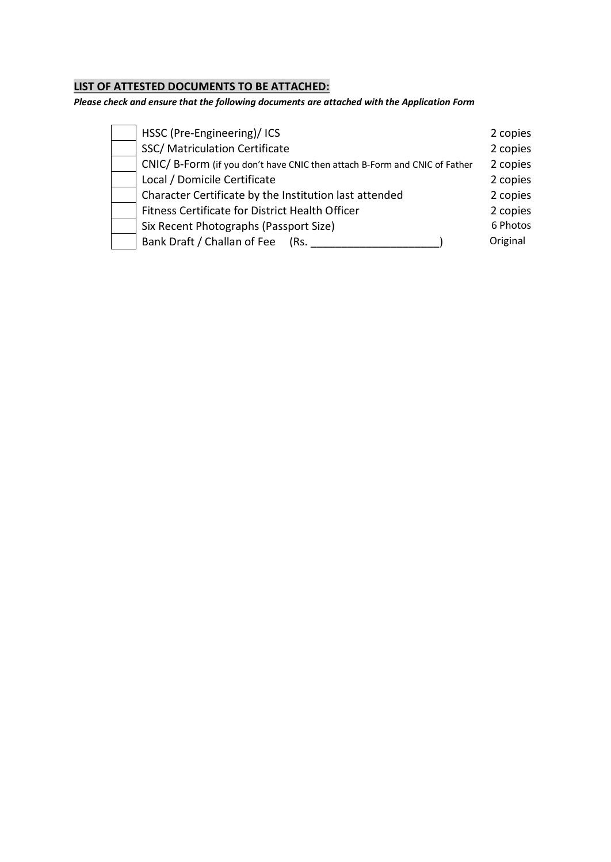## **LIST OF ATTESTED DOCUMENTS TO BE ATTACHED:**

*Please check and ensure that the following documents are attached with the Application Form*

| HSSC (Pre-Engineering)/ICS                                                | 2 copies |
|---------------------------------------------------------------------------|----------|
| SSC/ Matriculation Certificate                                            | 2 copies |
| CNIC/B-Form (if you don't have CNIC then attach B-Form and CNIC of Father | 2 copies |
| Local / Domicile Certificate                                              | 2 copies |
| Character Certificate by the Institution last attended                    | 2 copies |
| Fitness Certificate for District Health Officer                           | 2 copies |
| Six Recent Photographs (Passport Size)                                    | 6 Photos |
| Bank Draft / Challan of Fee<br>(Rs.                                       | Original |